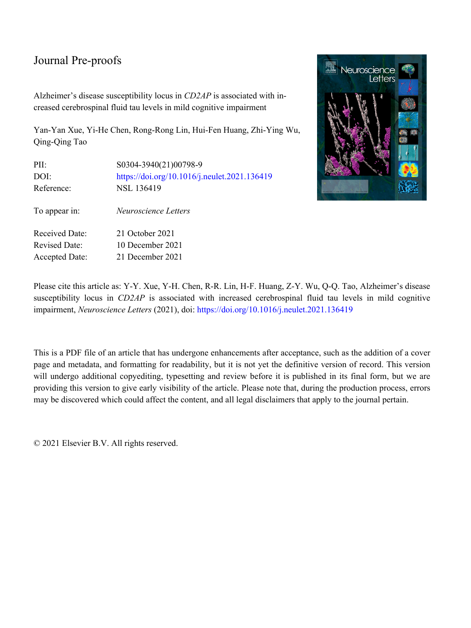Alzheimer's disease susceptibility locus in *CD2AP* is associated with in‐ creased cerebrospinal fluid tau levels in mild cognitive impairment

Yan-Yan Xue, Yi-He Chen, Rong-Rong Lin, Hui-Fen Huang, Zhi-Ying Wu, Qing-Qing Tao

| PII:                  | S0304-3940(21)00798-9                        |
|-----------------------|----------------------------------------------|
| DOI:                  | https://doi.org/10.1016/j.neulet.2021.136419 |
| Reference:            | NSL 136419                                   |
|                       |                                              |
| To appear in:         | Neuroscience Letters                         |
| <b>Received Date:</b> | 21 October 2021                              |
|                       |                                              |
| <b>Revised Date:</b>  | 10 December 2021                             |
| <b>Accepted Date:</b> | 21 December 2021                             |



Please cite this article as: Y-Y. Xue, Y-H. Chen, R-R. Lin, H-F. Huang, Z-Y. Wu, Q-Q. Tao, Alzheimer's disease susceptibility locus in *CD2AP* is associated with increased cerebrospinal fluid tau levels in mild cognitive impairment, *Neuroscience Letters* (2021), doi:<https://doi.org/10.1016/j.neulet.2021.136419>

This is a PDF file of an article that has undergone enhancements after acceptance, such as the addition of a cover page and metadata, and formatting for readability, but it is not yet the definitive version of record. This version will undergo additional copyediting, typesetting and review before it is published in its final form, but we are providing this version to give early visibility of the article. Please note that, during the production process, errors may be discovered which could affect the content, and all legal disclaimers that apply to the journal pertain.

© 2021 Elsevier B.V. All rights reserved.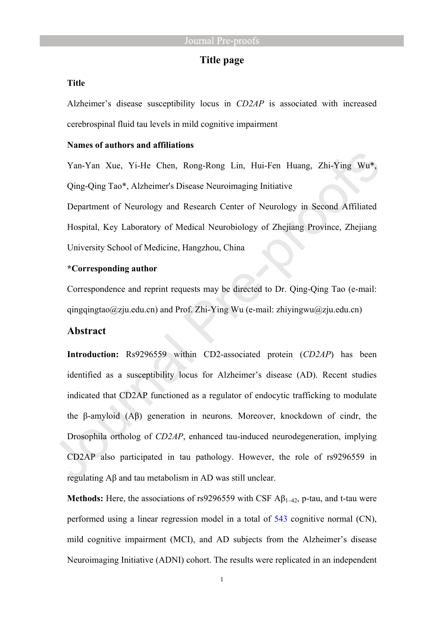## **Title page**

#### **Title**

Alzheimer's disease susceptibility locus in *CD2AP* is associated with increased cerebrospinal fluid tau levels in mild cognitive impairment

#### **Names of authors and affiliations**

Yan-Yan Xue, Yi-He Chen, Rong-Rong Lin, Hui-Fen Huang, Zhi-Ying Wu\*, Qing-Qing Tao\*, Alzheimer's Disease Neuroimaging Initiative

Department of Neurology and Research Center of Neurology in Second Affiliated Hospital, Key Laboratory of Medical Neurobiology of Zhejiang Province, Zhejiang University School of Medicine, Hangzhou, China

#### **\*Corresponding author**

Correspondence and reprint requests may be directed to Dr. Qing-Qing Tao (e-mail: qingqingtao@zju.edu.cn) and Prof. Zhi-Ying Wu (e-mail: [zhiyingwu@zju.edu.cn\)](mailto:zhiyingwu@zju.edu.cn)

## **Abstract**

**Introduction:** Rs9296559 within CD2-associated protein (*CD2AP*) has been identified as a susceptibility locus for Alzheimer's disease (AD). Recent studies indicated that CD2AP functioned as a regulator of endocytic trafficking to modulate the β-amyloid (Aβ) generation in neurons. Moreover, knockdown of cindr, the Drosophila ortholog of *CD2AP*, enhanced tau-induced neurodegeneration, implying CD2AP also participated in tau pathology. However, the role of rs9296559 in regulating Aβ and tau metabolism in AD was still unclear.

**Methods:** Here, the associations of rs9296559 with CSF Aβ1–42, p-tau, and t-tau were performed using a linear regression model in a total of 543 cognitive normal (CN), mild cognitive impairment (MCI), and AD subjects from the Alzheimer's disease Neuroimaging Initiative (ADNI) cohort. The results were replicated in an independent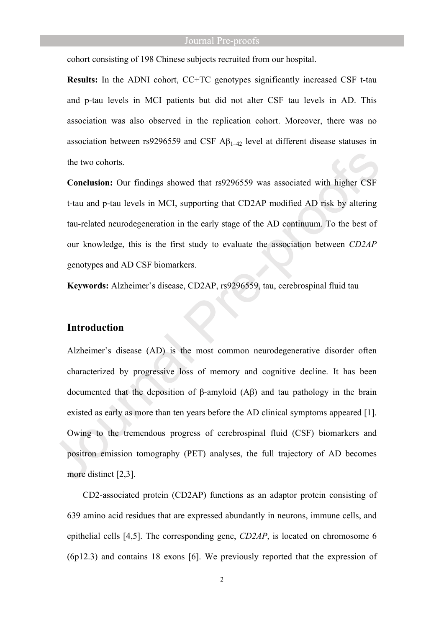cohort consisting of 198 Chinese subjects recruited from our hospital.

**Results:** In the ADNI cohort, CC+TC genotypes significantly increased CSF t-tau and p-tau levels in MCI patients but did not alter CSF tau levels in AD. This association was also observed in the replication cohort. Moreover, there was no association between rs9296559 and CSF  $\mathbf{A}\beta_{1-42}$  level at different disease statuses in the two cohorts.

**Conclusion:** Our findings showed that rs9296559 was associated with higher CSF t-tau and p-tau levels in MCI, supporting that CD2AP modified AD risk by altering tau-related neurodegeneration in the early stage of the AD continuum. To the best of our knowledge, this is the first study to evaluate the association between *CD2AP* genotypes and AD CSF biomarkers.

**Keywords:** Alzheimer's disease, CD2AP, rs9296559, tau, cerebrospinal fluid tau

## **Introduction**

Alzheimer's disease (AD) is the most common neurodegenerative disorder often characterized by progressive loss of memory and cognitive decline. It has been documented that the deposition of β-amyloid (Aβ) and tau pathology in the brain existed as early as more than ten years before the AD clinical symptoms appeared [1]. Owing to the tremendous progress of cerebrospinal fluid (CSF) biomarkers and positron emission tomography (PET) analyses, the full trajectory of AD becomes more distinct [2,3].

CD2-associated protein (CD2AP) functions as an adaptor protein consisting of 639 amino acid residues that are expressed abundantly in neurons, immune cells, and epithelial cells [4,5]. The corresponding gene, *CD2AP*, is located on chromosome 6 (6p12.3) and contains 18 exons [6]. We previously reported that the expression of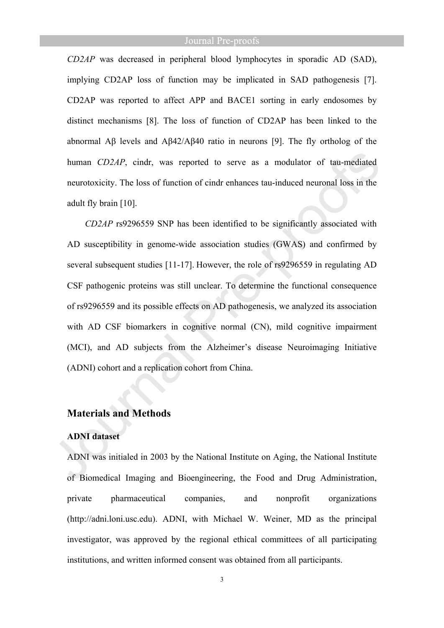*CD2AP* was decreased in peripheral blood lymphocytes in sporadic AD (SAD), implying CD2AP loss of function may be implicated in SAD pathogenesis [7]. CD2AP was reported to affect APP and BACE1 sorting in early endosomes by distinct mechanisms [8]. The loss of function of CD2AP has been linked to the abnormal Aβ levels and Aβ42/Aβ40 ratio in neurons [9]. The fly ortholog of the human *CD2AP*, cindr, was reported to serve as a modulator of tau-mediated neurotoxicity. The loss of function of cindr enhances tau-induced neuronal loss in the adult fly brain [10].

*CD2AP* rs9296559 SNP has been identified to be significantly associated with AD susceptibility in genome-wide association studies (GWAS) and confirmed by several subsequent studies [11-17]. However, the role of rs9296559 in regulating AD CSF pathogenic proteins was still unclear. To determine the functional consequence of rs9296559 and its possible effects on AD pathogenesis, we analyzed its association with AD CSF biomarkers in cognitive normal (CN), mild cognitive impairment (MCI), and AD subjects from the Alzheimer's disease Neuroimaging Initiative (ADNI) cohort and a replication cohort from China.

## **Materials and Methods**

## **ADNI dataset**

ADNI was initialed in 2003 by the National Institute on Aging, the National Institute of Biomedical Imaging and Bioengineering, the Food and Drug Administration, private pharmaceutical companies, and nonprofit organizations (http://adni.loni.usc.edu). ADNI, with Michael W. Weiner, MD as the principal investigator, was approved by the regional ethical committees of all participating institutions, and written informed consent was obtained from all participants.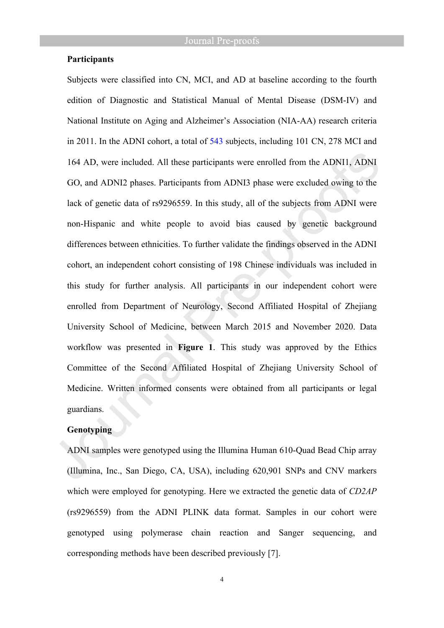#### **Participants**

Subjects were classified into CN, MCI, and AD at baseline according to the fourth edition of Diagnostic and Statistical Manual of Mental Disease (DSM-IV) and National Institute on Aging and Alzheimer's Association (NIA-AA) research criteria in 2011. In the ADNI cohort, a total of 543 subjects, including 101 CN, 278 MCI and 164 AD, were included. All these participants were enrolled from the ADNI1, ADNI GO, and ADNI2 phases. Participants from ADNI3 phase were excluded owing to the lack of genetic data of rs9296559. In this study, all of the subjects from ADNI were non-Hispanic and white people to avoid bias caused by genetic background differences between ethnicities. To further validate the findings observed in the ADNI cohort, an independent cohort consisting of 198 Chinese individuals was included in this study for further analysis. All participants in our independent cohort were enrolled from Department of Neurology, Second Affiliated Hospital of Zhejiang University School of Medicine, between March 2015 and November 2020. Data workflow was presented in **Figure 1**. This study was approved by the Ethics Committee of the Second Affiliated Hospital of Zhejiang University School of Medicine. Written informed consents were obtained from all participants or legal guardians.

## **Genotyping**

ADNI samples were genotyped using the Illumina Human 610-Quad Bead Chip array (Illumina, Inc., San Diego, CA, USA), including 620,901 SNPs and CNV markers which were employed for genotyping. Here we extracted the genetic data of *CD2AP* (rs9296559) from the ADNI PLINK data format. Samples in our cohort were genotyped using polymerase chain reaction and Sanger sequencing, and corresponding methods have been described previously [7].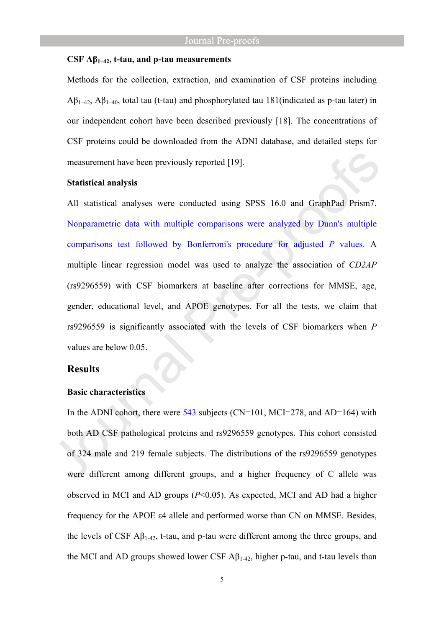#### **CSF Aβ1–42, t-tau, and p-tau measurements**

Methods for the collection, extraction, and examination of CSF proteins including  $A\beta_{1-42}$ ,  $A\beta_{1-40}$ , total tau (t-tau) and phosphorylated tau 181(indicated as p-tau later) in our independent cohort have been described previously [18]. The concentrations of CSF proteins could be downloaded from the ADNI database, and detailed steps for measurement have been previously reported [19].

#### **Statistical analysis**

All statistical analyses were conducted using SPSS 16.0 and GraphPad Prism7. Nonparametric data with multiple comparisons were analyzed by Dunn's multiple comparisons test followed by Bonferroni's procedure for adjusted *P* values. A multiple linear regression model was used to analyze the association of *CD2AP* (rs9296559) with CSF biomarkers at baseline after corrections for MMSE, age, gender, educational level, and APOE genotypes. For all the tests, we claim that rs9296559 is significantly associated with the levels of CSF biomarkers when *P* values are below 0.05.

#### **Results**

## **Basic characteristics**

In the ADNI cohort, there were  $543$  subjects (CN=101, MCI=278, and AD=164) with both AD CSF pathological proteins and rs9296559 genotypes. This cohort consisted of 324 male and 219 female subjects. The distributions of the rs9296559 genotypes were different among different groups, and a higher frequency of C allele was observed in MCI and AD groups (*P*<0.05). As expected, MCI and AD had a higher frequency for the APOE ε4 allele and performed worse than CN on MMSE. Besides, the levels of CSF  $\mathbf{A}\beta_{1-42}$ , t-tau, and p-tau were different among the three groups, and the MCI and AD groups showed lower CSF  $\mathsf{A}\beta_{1\text{-}42}$ , higher p-tau, and t-tau levels than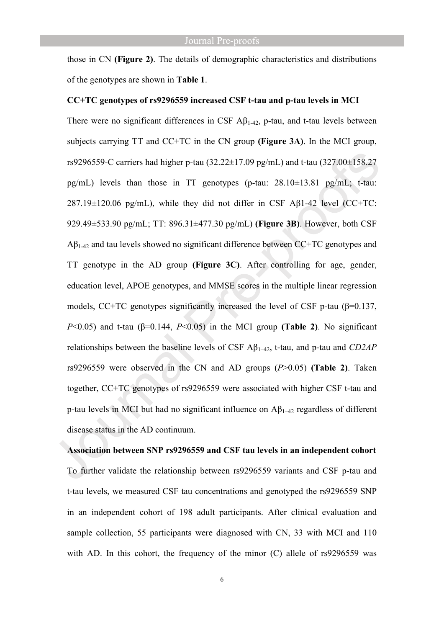those in CN **(Figure 2)**. The details of demographic characteristics and distributions of the genotypes are shown in **Table 1**.

#### **CC+TC genotypes of rs9296559 increased CSF t-tau and p-tau levels in MCI**

There were no significant differences in CSF  $\mathbf{A}\beta_{1-42}$ , p-tau, and t-tau levels between subjects carrying TT and CC+TC in the CN group **(Figure 3A)**. In the MCI group, rs9296559-C carriers had higher p-tau (32.22±17.09 pg/mL) and t-tau (327.00±158.27 pg/mL) levels than those in TT genotypes (p-tau: 28.10±13.81 pg/mL; t-tau: 287.19±120.06 pg/mL), while they did not differ in CSF Aβ1-42 level (CC+TC: 929.49±533.90 pg/mL; TT: 896.31±477.30 pg/mL) **(Figure 3B)**. However, both CSF  $A\beta_{1-42}$  and tau levels showed no significant difference between CC+TC genotypes and TT genotype in the AD group **(Figure 3C)**. After controlling for age, gender, education level, APOE genotypes, and MMSE scores in the multiple linear regression models, CC+TC genotypes significantly increased the level of CSF p-tau ( $\beta$ =0.137, *P*<0.05) and t-tau (β=0.144, *P*<0.05) in the MCI group (Table 2). No significant relationships between the baseline levels of CSF Aβ1–42, t-tau, and p-tau and *CD2AP* rs9296559 were observed in the CN and AD groups (*P*>0.05) **(Table 2)**. Taken together, CC+TC genotypes of rs9296559 were associated with higher CSF t-tau and p-tau levels in MCI but had no significant influence on  $A\beta_{1-42}$  regardless of different disease status in the AD continuum.

# **Association between SNP rs9296559 and CSF tau levels in an independent cohort** To further validate the relationship between rs9296559 variants and CSF p-tau and t-tau levels, we measured CSF tau concentrations and genotyped the rs9296559 SNP in an independent cohort of 198 adult participants. After clinical evaluation and sample collection, 55 participants were diagnosed with CN, 33 with MCI and 110 with AD. In this cohort, the frequency of the minor (C) allele of rs9296559 was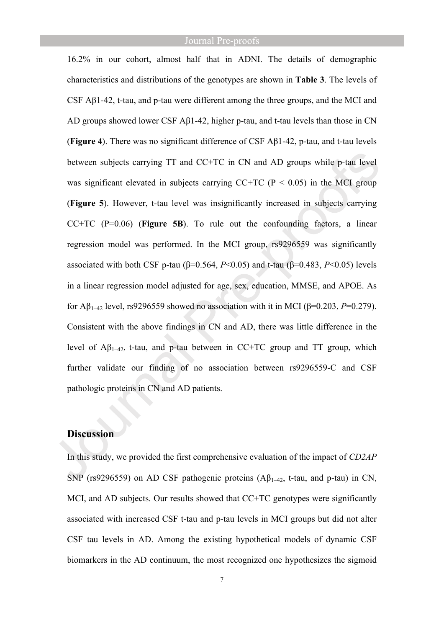16.2% in our cohort, almost half that in ADNI. The details of demographic characteristics and distributions of the genotypes are shown in **Table 3**. The levels of CSF  $\Delta \beta$ 1-42, t-tau, and p-tau were different among the three groups, and the MCI and AD groups showed lower CSF Aβ1-42, higher p-tau, and t-tau levels than those in CN (**Figure 4**). There was no significant difference of CSF Aβ1-42, p-tau, and t-tau levels between subjects carrying TT and CC+TC in CN and AD groups while p-tau level was significant elevated in subjects carrying  $CCTC$  ( $P < 0.05$ ) in the MCI group (**Figure 5**). However, t-tau level was insignificantly increased in subjects carrying CC+TC (P=0.06) (**Figure 5B**). To rule out the confounding factors, a linear regression model was performed. In the MCI group, rs9296559 was significantly associated with both CSF p-tau ( $\beta$ =0.564, *P*<0.05) and t-tau ( $\beta$ =0.483, *P*<0.05) levels in a linear regression model adjusted for age, sex, education, MMSE, and APOE. As for Aβ<sub>1–42</sub> level, rs9296559 showed no association with it in MCI (β=0.203, P=0.279). Consistent with the above findings in CN and AD, there was little difference in the level of  $A\beta_{1-42}$ , t-tau, and p-tau between in CC+TC group and TT group, which further validate our finding of no association between rs9296559-C and CSF pathologic proteins in CN and AD patients.

## **Discussion**

In this study, we provided the first comprehensive evaluation of the impact of *CD2AP* SNP (rs9296559) on AD CSF pathogenic proteins  $(A\beta_{1-42}, t$ -tau, and p-tau) in CN, MCI, and AD subjects. Our results showed that CC+TC genotypes were significantly associated with increased CSF t-tau and p-tau levels in MCI groups but did not alter CSF tau levels in AD. Among the existing hypothetical models of dynamic CSF biomarkers in the AD continuum, the most recognized one hypothesizes the sigmoid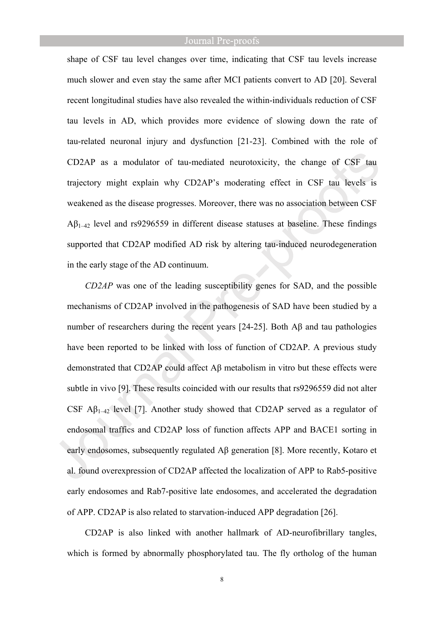shape of CSF tau level changes over time, indicating that CSF tau levels increase much slower and even stay the same after MCI patients convert to AD [20]. Several recent longitudinal studies have also revealed the within-individuals reduction of CSF tau levels in AD, which provides more evidence of slowing down the rate of tau-related neuronal injury and dysfunction [21-23]. Combined with the role of CD2AP as a modulator of tau-mediated neurotoxicity, the change of CSF tau trajectory might explain why CD2AP's moderating effect in CSF tau levels is weakened as the disease progresses. Moreover, there was no association between CSF  $A\beta_{1-42}$  level and rs9296559 in different disease statuses at baseline. These findings supported that CD2AP modified AD risk by altering tau-induced neurodegeneration in the early stage of the AD continuum.

*CD2AP* was one of the leading susceptibility genes for SAD, and the possible mechanisms of CD2AP involved in the pathogenesis of SAD have been studied by a number of researchers during the recent years [24-25]. Both Aβ and tau pathologies have been reported to be linked with loss of function of CD2AP. A previous study demonstrated that CD2AP could affect Aβ metabolism in vitro but these effects were subtle in vivo [9]. These results coincided with our results that rs9296559 did not alter CSF  $\mathbf{A}\mathbf{\beta}_{1-42}$  level [7]. Another study showed that CD2AP served as a regulator of endosomal traffics and CD2AP loss of function affects APP and BACE1 sorting in early endosomes, subsequently regulated Aβ generation [8]. More recently, Kotaro et al. found overexpression of CD2AP affected the localization of APP to Rab5-positive early endosomes and Rab7-positive late endosomes, and accelerated the degradation of APP. CD2AP is also related to starvation-induced APP degradation [26].

CD2AP is also linked with another hallmark of AD-neurofibrillary tangles, which is formed by abnormally phosphorylated tau. The fly ortholog of the human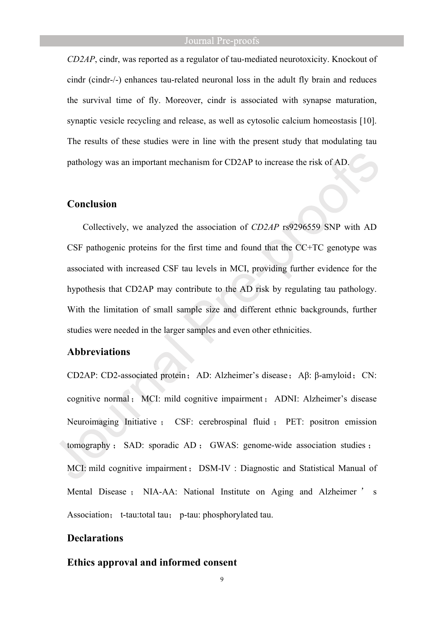*CD2AP*, cindr, was reported as a regulator of tau-mediated neurotoxicity. Knockout of cindr (cindr-/-) enhances tau-related neuronal loss in the adult fly brain and reduces the survival time of fly. Moreover, cindr is associated with synapse maturation, synaptic vesicle recycling and release, as well as cytosolic calcium homeostasis [10]. The results of these studies were in line with the present study that modulating tau pathology was an important mechanism for CD2AP to increase the risk of AD.

## **Conclusion**

Collectively, we analyzed the association of *CD2AP* rs9296559 SNP with AD CSF pathogenic proteins for the first time and found that the CC+TC genotype was associated with increased CSF tau levels in MCI, providing further evidence for the hypothesis that CD2AP may contribute to the AD risk by regulating tau pathology. With the limitation of small sample size and different ethnic backgrounds, further studies were needed in the larger samples and even other ethnicities.

#### **Abbreviations**

CD2AP: CD2-associated protein; AD: Alzheimer's disease; Aβ: β-amyloid; CN: cognitive normal; MCI: mild cognitive impairment; ADNI: Alzheimer's disease Neuroimaging Initiative ; CSF: cerebrospinal fluid ; PET: positron emission tomography : SAD: sporadic AD : GWAS: genome-wide association studies : MCI: mild cognitive impairment; DSM-IV : Diagnostic and Statistical Manual of Mental Disease ; NIA-AA: National Institute on Aging and Alzheimer ' s Association; t-tau:total tau; p-tau: phosphorylated tau.

## **Declarations**

## **Ethics approval and informed consent**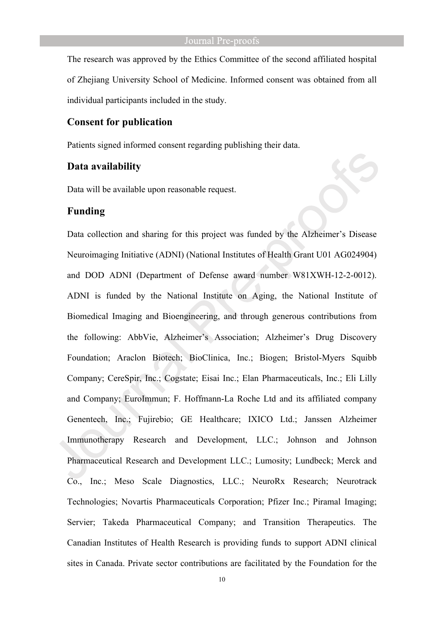The research was approved by the Ethics Committee of the second affiliated hospital of Zhejiang University School of Medicine. Informed consent was obtained from all individual participants included in the study.

## **Consent for publication**

Patients signed informed consent regarding publishing their data.

#### **Data availability**

Data will be available upon reasonable request.

## **Funding**

Data collection and sharing for this project was funded by the Alzheimer's Disease Neuroimaging Initiative (ADNI) (National Institutes of Health Grant U01 AG024904) and DOD ADNI (Department of Defense award number W81XWH-12-2-0012). ADNI is funded by the National Institute on Aging, the National Institute of Biomedical Imaging and Bioengineering, and through generous contributions from the following: AbbVie, Alzheimer's Association; Alzheimer's Drug Discovery Foundation; Araclon Biotech; BioClinica, Inc.; Biogen; Bristol-Myers Squibb Company; CereSpir, Inc.; Cogstate; Eisai Inc.; Elan Pharmaceuticals, Inc.; Eli Lilly and Company; EuroImmun; F. Hoffmann-La Roche Ltd and its affiliated company Genentech, Inc.; Fujirebio; GE Healthcare; IXICO Ltd.; Janssen Alzheimer Immunotherapy Research and Development, LLC.; Johnson and Johnson Pharmaceutical Research and Development LLC.; Lumosity; Lundbeck; Merck and Co., Inc.; Meso Scale Diagnostics, LLC.; NeuroRx Research; Neurotrack Technologies; Novartis Pharmaceuticals Corporation; Pfizer Inc.; Piramal Imaging; Servier; Takeda Pharmaceutical Company; and Transition Therapeutics. The Canadian Institutes of Health Research is providing funds to support ADNI clinical sites in Canada. Private sector contributions are facilitated by the Foundation for the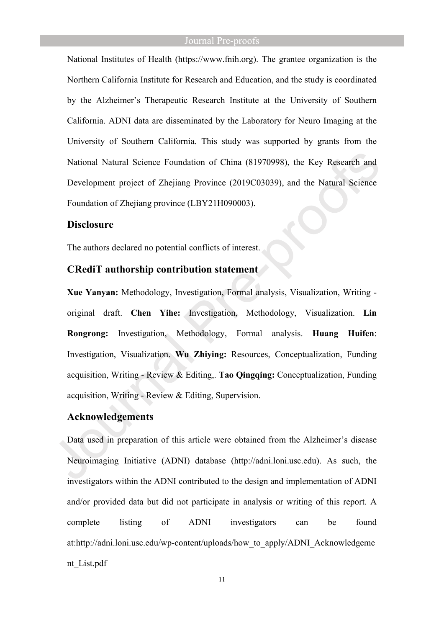National Institutes of Health (https://www.fnih.org). The grantee organization is the Northern California Institute for Research and Education, and the study is coordinated by the Alzheimer's Therapeutic Research Institute at the University of Southern California. ADNI data are disseminated by the Laboratory for Neuro Imaging at the University of Southern California. This study was supported by grants from the National Natural Science Foundation of China (81970998), the Key Research and Development project of Zhejiang Province (2019C03039), and the Natural Science Foundation of Zhejiang province (LBY21H090003).

## **Disclosure**

The authors declared no potential conflicts of interest.

## **CRediT authorship contribution statement**

**Xue Yanyan:** Methodology, Investigation, Formal analysis, Visualization, Writing original draft. **Chen Yihe:** Investigation, Methodology, Visualization. **Lin Rongrong:** Investigation, Methodology, Formal analysis. **Huang Huifen**: Investigation, Visualization. **Wu Zhiying:** Resources, Conceptualization, Funding acquisition, Writing - Review & Editing,. **Tao Qingqing:** Conceptualization, Funding acquisition, Writing - Review & Editing, Supervision.

## **Acknowledgements**

Data used in preparation of this article were obtained from the Alzheimer's disease Neuroimaging Initiative (ADNI) database (http://adni.loni.usc.edu). As such, the investigators within the ADNI contributed to the design and implementation of ADNI and/or provided data but did not participate in analysis or writing of this report. A complete listing of ADNI investigators can be found at:http://adni.loni.usc.edu/wp-content/uploads/how\_to\_apply/ADNI\_Acknowledgeme nt\_List.pdf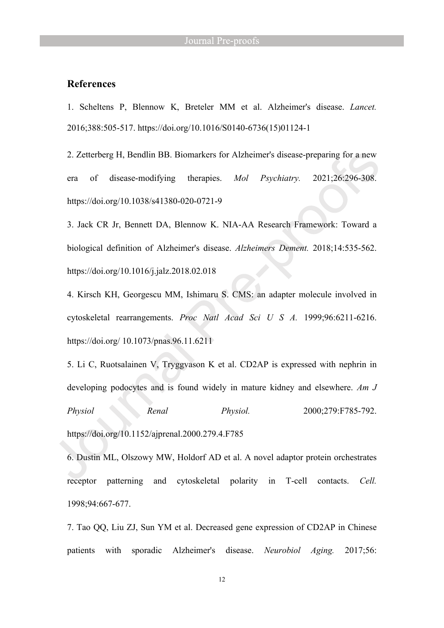## **References**

1. Scheltens P, Blennow K, Breteler MM et al. Alzheimer's disease. *Lancet.*  2016;388:505-517. https://doi.org/10.1016/S0140-6736(15)01124-1

2. Zetterberg H, Bendlin BB. Biomarkers for Alzheimer's disease-preparing for a new era of disease-modifying therapies. *Mol Psychiatry.* 2021;26:296-308. https://doi.org/10.1038/s41380-020-0721-9

3. Jack CR Jr, Bennett DA, Blennow K. NIA-AA Research Framework: Toward a biological definition of Alzheimer's disease. *Alzheimers Dement.* 2018;14:535-562. https://doi.org/10.1016/j.jalz.2018.02.018

4. Kirsch KH, Georgescu MM, Ishimaru S. CMS: an adapter molecule involved in cytoskeletal rearrangements. *Proc Natl Acad Sci U S A.* 1999;96:6211-6216. https://doi.org/ 10.1073/pnas.96.11.6211

5. Li C, Ruotsalainen V, Tryggvason K et al. CD2AP is expressed with nephrin in developing podocytes and is found widely in mature kidney and elsewhere. *Am J Physiol Renal Physiol.* 2000;279:F785-792. https://doi.org/10.1152/ajprenal.2000.279.4.F785

6. Dustin ML, Olszowy MW, Holdorf AD et al. A novel adaptor protein orchestrates receptor patterning and cytoskeletal polarity in T-cell contacts. *Cell.* 1998;94:667-677.

7. Tao QQ, Liu ZJ, Sun YM et al. Decreased gene expression of CD2AP in Chinese patients with sporadic Alzheimer's disease. *Neurobiol Aging.* 2017;56: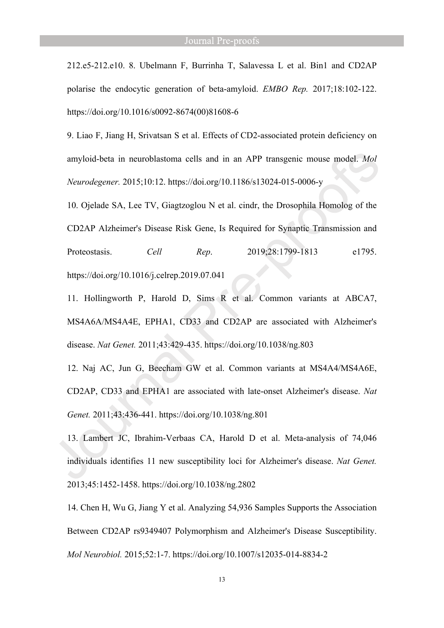212.e5-212.e10. 8. Ubelmann F, Burrinha T, Salavessa L et al. Bin1 and CD2AP polarise the endocytic generation of beta-amyloid. *EMBO Rep.* 2017;18:102-122. https://doi.org/10.1016/s0092-8674(00)81608-6

9. Liao F, Jiang H, Srivatsan S et al. Effects of CD2-associated protein deficiency on amyloid-beta in neuroblastoma cells and in an APP transgenic mouse model. *Mol Neurodegener.* 2015;10:12. https://doi.org/10.1186/s13024-015-0006-y

10. Ojelade SA, Lee TV, Giagtzoglou N et al. cindr, the Drosophila Homolog of the CD2AP Alzheimer's Disease Risk Gene, Is Required for Synaptic Transmission and Proteostasis. *Cell Rep*. 2019;28:1799-1813 e1795. https://doi.org/10.1016/j.celrep.2019.07.041

11. Hollingworth P, Harold D, Sims R et al. Common variants at ABCA7, MS4A6A/MS4A4E, EPHA1, CD33 and CD2AP are associated with Alzheimer's disease. *Nat Genet.* 2011;43:429-435. https://doi.org/10.1038/ng.803

12. Naj AC, Jun G, Beecham GW et al. Common variants at MS4A4/MS4A6E, CD2AP, CD33 and EPHA1 are associated with late-onset Alzheimer's disease. *Nat Genet.* 2011;43:436-441. https://doi.org/10.1038/ng.801

13. Lambert JC, Ibrahim-Verbaas CA, Harold D et al. Meta-analysis of 74,046 individuals identifies 11 new susceptibility loci for Alzheimer's disease. *Nat Genet.* 2013;45:1452-1458. https://doi.org/10.1038/ng.2802

14. Chen H, Wu G, Jiang Y et al. Analyzing 54,936 Samples Supports the Association Between CD2AP rs9349407 Polymorphism and Alzheimer's Disease Susceptibility. *Mol Neurobiol.* 2015;52:1-7. https://doi.org/10.1007/s12035-014-8834-2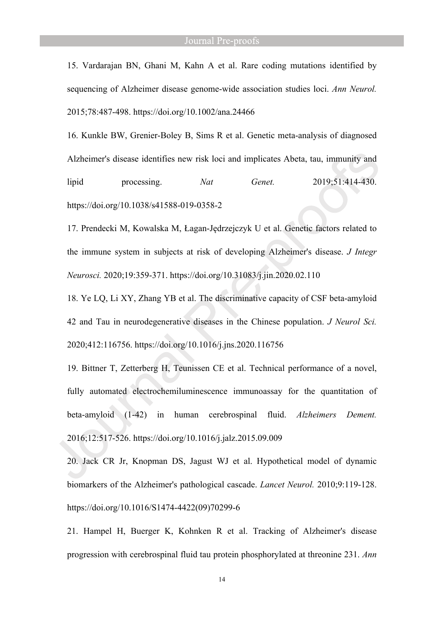15. Vardarajan BN, Ghani M, Kahn A et al. Rare coding mutations identified by sequencing of Alzheimer disease genome-wide association studies loci. *Ann Neurol.* 2015;78:487-498. https://doi.org/10.1002/ana.24466

16. Kunkle BW, Grenier-Boley B, Sims R et al. Genetic meta-analysis of diagnosed Alzheimer's disease identifies new risk loci and implicates Abeta, tau, immunity and lipid processing. *Nat Genet.* 2019;51:414-430. https://doi.org/10.1038/s41588-019-0358-2

17. Prendecki M, Kowalska M, Łagan-Jędrzejczyk U et al. Genetic factors related to the immune system in subjects at risk of developing Alzheimer's disease. *J Integr Neurosci.* 2020;19:359-371. https://doi.org/10.31083/j.jin.2020.02.110

18. Ye LQ, Li XY, Zhang YB et al. The discriminative capacity of CSF beta-amyloid 42 and Tau in neurodegenerative diseases in the Chinese population. *J Neurol Sci.* 2020;412:116756. https://doi.org/10.1016/j.jns.2020.116756

19. Bittner T, Zetterberg H, Teunissen CE et al. Technical performance of a novel, fully automated electrochemiluminescence immunoassay for the quantitation of beta-amyloid (1-42) in human cerebrospinal fluid. *Alzheimers Dement.* 2016;12:517-526. https://doi.org/10.1016/j.jalz.2015.09.009

20. Jack CR Jr, Knopman DS, Jagust WJ et al. Hypothetical model of dynamic biomarkers of the Alzheimer's pathological cascade. *Lancet Neurol.* 2010;9:119-128. https://doi.org/10.1016/S1474-4422(09)70299-6

21. Hampel H, Buerger K, Kohnken R et al. Tracking of Alzheimer's disease progression with cerebrospinal fluid tau protein phosphorylated at threonine 231. *Ann*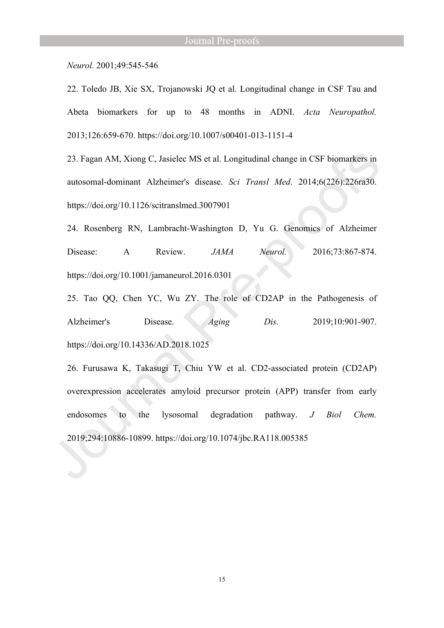*Neurol.* 2001;49:545-546

22. Toledo JB, Xie SX, Trojanowski JQ et al. Longitudinal change in CSF Tau and Abeta biomarkers for up to 48 months in ADNI. *Acta Neuropathol.* 2013;126:659-670. https://doi.org/10.1007/s00401-013-1151-4

23. Fagan AM, Xiong C, Jasielec MS et al. Longitudinal change in CSF biomarkers in autosomal-dominant Alzheimer's disease. *Sci Transl Med*. 2014;6(226):226ra30. https://doi.org/10.1126/scitranslmed.3007901

24. Rosenberg RN, Lambracht-Washington D, Yu G. Genomics of Alzheimer Disease: A Review. *JAMA Neurol.* 2016;73:867-874. https://doi.org/10.1001/jamaneurol.2016.0301

25. Tao QQ, Chen YC, Wu ZY. The role of CD2AP in the Pathogenesis of Alzheimer's Disease. *Aging Dis.* 2019;10:901-907. https://doi.org/10.14336/AD.2018.1025

26. Furusawa K, Takasugi T, Chiu YW et al. CD2-associated protein (CD2AP) overexpression accelerates amyloid precursor protein (APP) transfer from early endosomes to the lysosomal degradation pathway. *J Biol Chem.* 2019;294:10886-10899. https://doi.org/10.1074/jbc.RA118.005385

15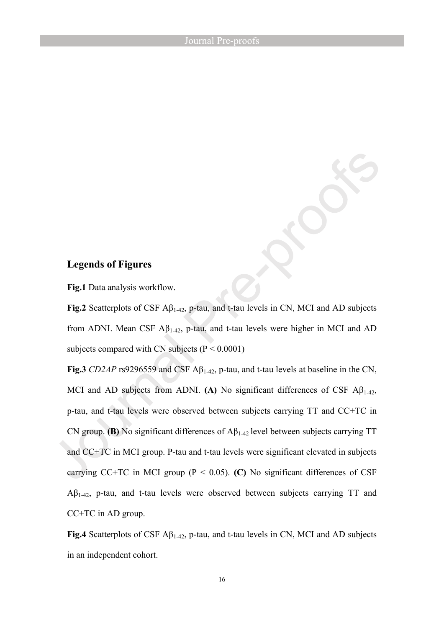## **Legends of Figures**

**Fig.1** Data analysis workflow.

**Fig.2** Scatterplots of CSF  $\mathbf{A}\beta_{1-42}$ , p-tau, and t-tau levels in CN, MCI and AD subjects from ADNI. Mean CSF  $A\beta_{1-42}$ , p-tau, and t-tau levels were higher in MCI and AD subjects compared with CN subjects  $(P < 0.0001)$ 

**Fig.3** *CD2AP* rs9296559 and CSF  $\mathbf{A}\beta_{1-42}$ , p-tau, and t-tau levels at baseline in the CN, MCI and AD subjects from ADNI. **(A)** No significant differences of CSF  $A\beta_{1-42}$ , p-tau, and t-tau levels were observed between subjects carrying TT and CC+TC in CN group. **(B)** No significant differences of  $A\beta_{1-42}$  level between subjects carrying TT and CC+TC in MCI group. P-tau and t-tau levels were significant elevated in subjects carrying CC+TC in MCI group ( $P < 0.05$ ). (C) No significant differences of CSF  $\Delta\beta_{1-42}$ , p-tau, and t-tau levels were observed between subjects carrying TT and CC+TC in AD group.

**Fig.4** Scatterplots of CSF  $\mathbf{A}\beta_{1-42}$ , p-tau, and t-tau levels in CN, MCI and AD subjects in an independent cohort.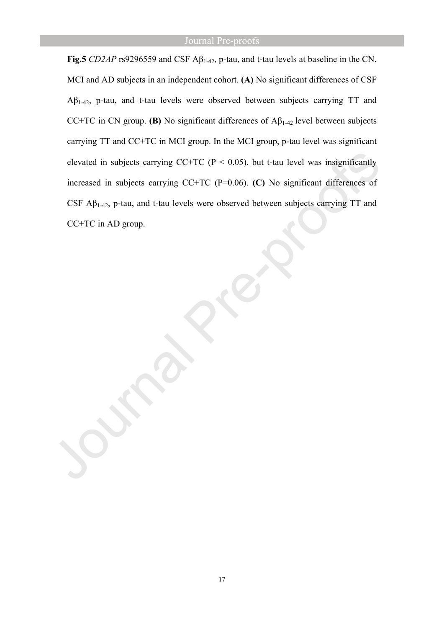**Fig.5** *CD2AP* rs9296559 and CSF  $\mathbf{A}\beta_{1-42}$ , p-tau, and t-tau levels at baseline in the CN, MCI and AD subjects in an independent cohort. **(A)** No significant differences of CSF  $A\beta_{1-42}$ , p-tau, and t-tau levels were observed between subjects carrying TT and CC+TC in CN group. **(B)** No significant differences of  $A\beta_{1-42}$  level between subjects carrying TT and CC+TC in MCI group. In the MCI group, p-tau level was significant elevated in subjects carrying CC+TC ( $P < 0.05$ ), but t-tau level was insignificantly increased in subjects carrying CC+TC (P=0.06). **(C)** No significant differences of CSF  $A\beta_{1-42}$ , p-tau, and t-tau levels were observed between subjects carrying TT and CC+TC in AD group.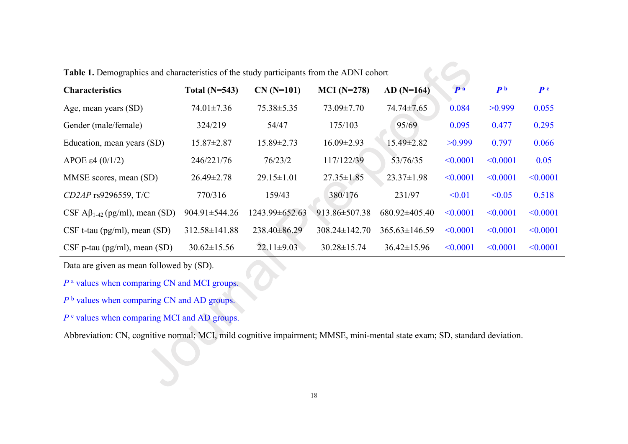| <b>Characteristics</b>                          | Total $(N=543)$     | $CN(N=101)$      | $MCI (N=278)$       | $AD(N=164)$         | P <sub>a</sub> | P <sub>b</sub> | P <sup>c</sup> |
|-------------------------------------------------|---------------------|------------------|---------------------|---------------------|----------------|----------------|----------------|
| Age, mean years (SD)                            | $74.01 \pm 7.36$    | $75.38 \pm 5.35$ | 73.09±7.70          | 74.74±7.65          | 0.084          | >0.999         | 0.055          |
| Gender (male/female)                            | 324/219             | 54/47            | 175/103             | 95/69               | 0.095          | 0.477          | 0.295          |
| Education, mean years (SD)                      | $15.87 \pm 2.87$    | $15.89 \pm 2.73$ | $16.09 \pm 2.93$    | 15.49±2.82          | >0.999         | 0.797          | 0.066          |
| APOE $\varepsilon$ 4 (0/1/2)                    | 246/221/76          | 76/23/2          | 117/122/39          | 53/76/35            | $\leq 0.0001$  | $\leq 0.0001$  | 0.05           |
| MMSE scores, mean (SD)                          | $26.49 \pm 2.78$    | $29.15 \pm 1.01$ | $27.35 \pm 1.85$    | $23.37 \pm 1.98$    | < 0.0001       | $\leq 0.0001$  | $\leq 0.0001$  |
| $CD2AP$ rs9296559, T/C                          | 770/316             | 159/43           | 380/176             | 231/97              | < 0.01         | < 0.05         | 0.518          |
| CSF $\mathsf{A}\beta_{1-42}$ (pg/ml), mean (SD) | $904.91 \pm 544.26$ | 1243.99±652.63   | 913.86±507.38       | $680.92\pm405.40$   | $\leq 0.0001$  | $\leq 0.0001$  | $\leq 0.0001$  |
| $CSF$ t-tau (pg/ml), mean (SD)                  | $312.58 \pm 141.88$ | $238.40\pm86.29$ | $308.24 \pm 142.70$ | $365.63 \pm 146.59$ | $\leq 0.0001$  | $\leq 0.0001$  | $\leq 0.0001$  |
| $CSF$ p-tau (pg/ml), mean (SD)                  | $30.62 \pm 15.56$   | $22.11 \pm 9.03$ | $30.28 \pm 15.74$   | $36.42 \pm 15.96$   | $\leq 0.0001$  | < 0.0001       | $\leq 0.0001$  |

 $\mathcal{C}$ 

**Table 1.** Demographics and characteristics of the study participants from the ADNI cohort

Data are given as mean followed by (SD).

*P* <sup>a</sup> values when comparing CN and MCI groups.

*P* <sup>b</sup> values when comparing CN and AD groups.

*P* <sup>c</sup> values when comparing MCI and AD groups.

Abbreviation: CN, cognitive normal; MCI, mild cognitive impairment; MMSE, mini-mental state exam; SD, standard deviation.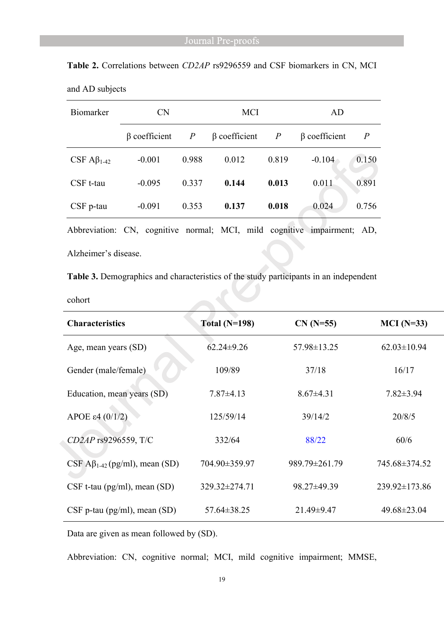| <b>Biomarker</b>             | <b>CN</b>           |                  | <b>MCI</b>          |                | AD                  |                |
|------------------------------|---------------------|------------------|---------------------|----------------|---------------------|----------------|
|                              | $\beta$ coefficient | $\boldsymbol{P}$ | $\beta$ coefficient | $\overline{P}$ | $\beta$ coefficient | $\overline{P}$ |
| CSF $\mathbf{A}\beta_{1-42}$ | $-0.001$            | 0.988            | 0.012               | 0.819          | $-0.104$            | 0.150          |
| CSF t-tau                    | $-0.095$            | 0.337            | 0.144               | 0.013          | 0.011               | 0.891          |
| CSF p-tau                    | $-0.091$            | 0.353            | 0.137               | 0.018          | 0.024               | 0.756          |

**Table 2.** Correlations between *CD2AP* rs9296559 and CSF biomarkers in CN, MCI and AD subjects

Abbreviation: CN, cognitive normal; MCI, mild cognitive impairment; AD,

Alzheimer's disease.

**Table 3.** Demographics and characteristics of the study participants in an independent

cohort

| <b>Characteristics</b>                          | Total $(N=198)$   | $CN (N=55)$     | $MCI(N=33)$       |
|-------------------------------------------------|-------------------|-----------------|-------------------|
| Age, mean years (SD)                            | $62.24 \pm 9.26$  | 57.98±13.25     | $62.03 \pm 10.94$ |
| Gender (male/female)                            | 109/89            | 37/18           | 16/17             |
| Education, mean years (SD)                      | $7.87 \pm 4.13$   | $8.67 \pm 4.31$ | $7.82 \pm 3.94$   |
| APOE $\varepsilon$ 4 (0/1/2)                    | 125/59/14         | 39/14/2         | 20/8/5            |
| CD2AP rs9296559, T/C                            | 332/64            | 88/22           | 60/6              |
| CSF $\mathbf{A}\beta_{1-42}$ (pg/ml), mean (SD) | 704.90±359.97     | 989.79±261.79   | 745.68±374.52     |
| $CSF$ t-tau (pg/ml), mean (SD)                  | 329.32±274.71     | 98.27±49.39     | 239.92±173.86     |
| $CSF$ p-tau (pg/ml), mean (SD)                  | $57.64 \pm 38.25$ | 21.49±9.47      | 49.68±23.04       |

Data are given as mean followed by (SD).

Abbreviation: CN, cognitive normal; MCI, mild cognitive impairment; MMSE,